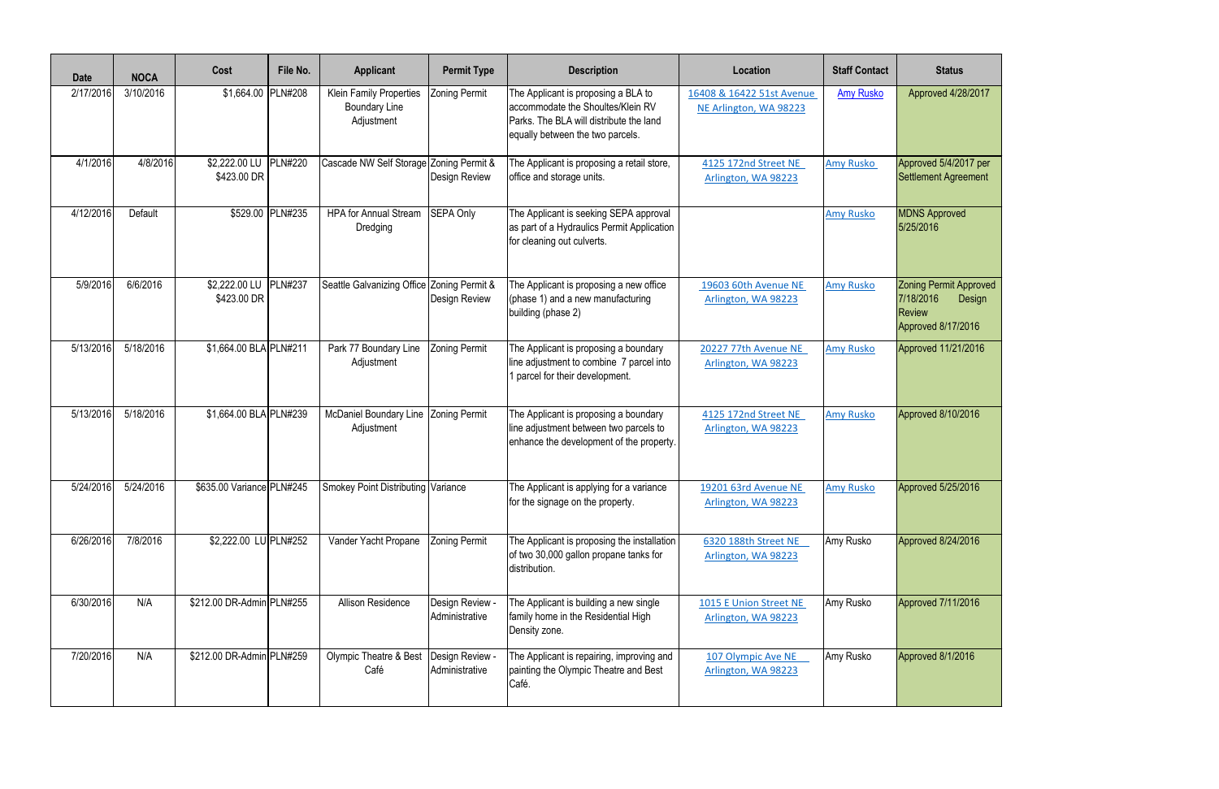| <b>Date</b> | <b>NOCA</b> | Cost                                 | File No.         | <b>Applicant</b>                                              | <b>Permit Type</b>                | <b>Description</b>                                                                                                                                                                                             | Location                                      | <b>Staff Contact</b> | <b>Status</b>                                                                               |
|-------------|-------------|--------------------------------------|------------------|---------------------------------------------------------------|-----------------------------------|----------------------------------------------------------------------------------------------------------------------------------------------------------------------------------------------------------------|-----------------------------------------------|----------------------|---------------------------------------------------------------------------------------------|
| 2/17/2016   | 3/10/2016   | \$1,664.00 PLN#208                   |                  | Klein Family Properties<br><b>Boundary Line</b><br>Adjustment | <b>Zoning Permit</b>              | The Applicant is proposing a BLA to<br>16408 & 16422 51st Avenue<br>accommodate the Shoultes/Klein RV<br>NE Arlington, WA 98223<br>Parks. The BLA will distribute the land<br>equally between the two parcels. |                                               | <b>Amy Rusko</b>     | Approved 4/28/2017                                                                          |
| 4/1/2016    | 4/8/2016    | \$2,222.00 LU PLN#220<br>\$423.00 DR |                  | Cascade NW Self Storage Zoning Permit &                       | Design Review                     | The Applicant is proposing a retail store,<br>office and storage units.                                                                                                                                        | 4125 172nd Street NE<br>Arlington, WA 98223   | <b>Amy Rusko</b>     | Approved 5/4/2017 per<br>Settlement Agreement                                               |
| 4/12/2016   | Default     |                                      | \$529.00 PLN#235 | <b>HPA for Annual Stream</b><br>Dredging                      | SEPA Only                         | The Applicant is seeking SEPA approval<br>as part of a Hydraulics Permit Application<br>for cleaning out culverts.                                                                                             |                                               | <b>Amy Rusko</b>     | <b>MDNS Approved</b><br>5/25/2016                                                           |
| 5/9/2016    | 6/6/2016    | \$2,222.00 LU PLN#237<br>\$423.00 DR |                  | Seattle Galvanizing Office Zoning Permit &                    | Design Review                     | The Applicant is proposing a new office<br>(phase 1) and a new manufacturing<br>building (phase 2)                                                                                                             | 19603 60th Avenue NE<br>Arlington, WA 98223   | <b>Amy Rusko</b>     | <b>Zoning Permit Approved</b><br>7/18/2016<br>Design<br><b>Review</b><br>Approved 8/17/2016 |
| 5/13/2016   | 5/18/2016   | \$1,664.00 BLA PLN#211               |                  | Park 77 Boundary Line<br>Adjustment                           | <b>Zoning Permit</b>              | The Applicant is proposing a boundary<br>line adjustment to combine 7 parcel into<br>parcel for their development.                                                                                             | 20227 77th Avenue NE<br>Arlington, WA 98223   | <b>Amy Rusko</b>     | Approved 11/21/2016                                                                         |
| 5/13/2016   | 5/18/2016   | \$1,664.00 BLA PLN#239               |                  | <b>McDaniel Boundary Line</b><br>Adjustment                   | <b>Zoning Permit</b>              | The Applicant is proposing a boundary<br>line adjustment between two parcels to<br>enhance the development of the property.                                                                                    | 4125 172nd Street NE<br>Arlington, WA 98223   | <b>Amy Rusko</b>     | Approved 8/10/2016                                                                          |
| 5/24/2016   | 5/24/2016   | \$635.00 Variance PLN#245            |                  | Smokey Point Distributing Variance                            |                                   | The Applicant is applying for a variance<br>for the signage on the property.                                                                                                                                   | 19201 63rd Avenue NE<br>Arlington, WA 98223   | <b>Amy Rusko</b>     | Approved 5/25/2016                                                                          |
| 6/26/2016   | 7/8/2016    | \$2,222.00 LU PLN#252                |                  | Vander Yacht Propane                                          | <b>Zoning Permit</b>              | The Applicant is proposing the installation<br>of two 30,000 gallon propane tanks for<br>distribution.                                                                                                         | 6320 188th Street NE<br>Arlington, WA 98223   | Amy Rusko            | Approved 8/24/2016                                                                          |
| 6/30/2016   | N/A         | \$212.00 DR-Admin PLN#255            |                  | <b>Allison Residence</b>                                      | Design Review -<br>Administrative | The Applicant is building a new single<br>family home in the Residential High<br>Density zone.                                                                                                                 | 1015 E Union Street NE<br>Arlington, WA 98223 | Amy Rusko            | Approved 7/11/2016                                                                          |
| 7/20/2016   | N/A         | \$212.00 DR-Admin PLN#259            |                  | Olympic Theatre & Best<br>Café                                | Design Review -<br>Administrative | The Applicant is repairing, improving and  <br>painting the Olympic Theatre and Best<br>Café.                                                                                                                  | 107 Olympic Ave NE<br>Arlington, WA 98223     | Amy Rusko            | Approved 8/1/2016                                                                           |